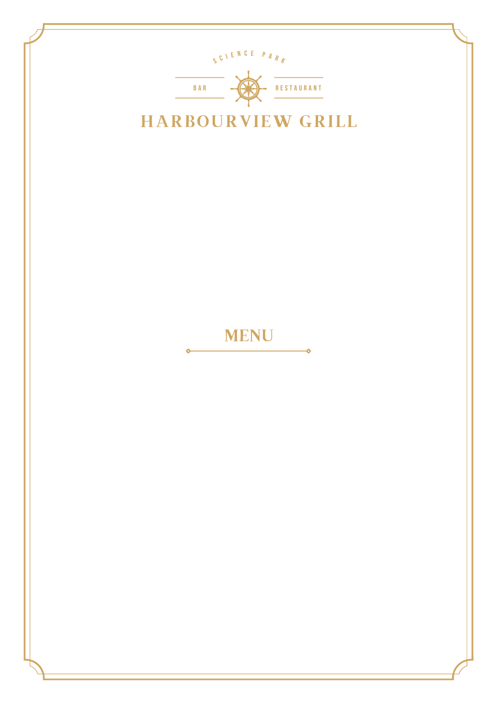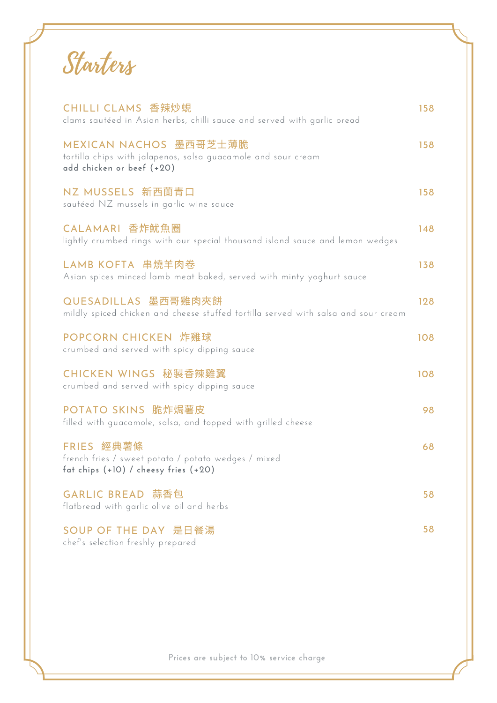Starters

| CHILLI CLAMS 香辣炒蜆<br>clams sautéed in Asian herbs, chilli sauce and served with garlic bread                         | 158 |
|----------------------------------------------------------------------------------------------------------------------|-----|
| MEXICAN NACHOS 墨西哥芝士薄脆<br>tortilla chips with jalapenos, salsa guacamole and sour cream<br>add chicken or beef (+20) | 158 |
| NZ MUSSELS 新西蘭青口<br>sautéed NZ mussels in garlic wine sauce                                                          | 158 |
| CALAMARI 香炸魷魚圈<br>lightly crumbed rings with our special thousand island sauce and lemon wedges                      | 148 |
| LAMB KOFTA 串燒羊肉卷<br>Asian spices minced lamb meat baked, served with minty yoghurt sauce                             | 138 |
| QUESADILLAS 墨西哥雞肉夾餅<br>mildly spiced chicken and cheese stuffed tortilla served with salsa and sour cream            | 128 |
| POPCORN CHICKEN 炸雞球<br>crumbed and served with spicy dipping sauce                                                   | 108 |
| CHICKEN WINGS 秘製香辣雞翼<br>crumbed and served with spicy dipping sauce                                                  | 108 |
| POTATO SKINS 脆炸焗薯皮<br>filled with guacamole, salsa, and topped with grilled cheese                                   | 98  |
| FRIES 經典薯條<br>french fries / sweet potato / potato wedges / mixed<br>fat chips $(+10)$ / cheesy fries $(+20)$        | 68  |
| GARLIC BREAD 蒜香包<br>flatbread with garlic olive oil and herbs                                                        | 58  |
| SOUP OF THE DAY 是日餐湯<br>chef's selection freshly prepared                                                            | 58  |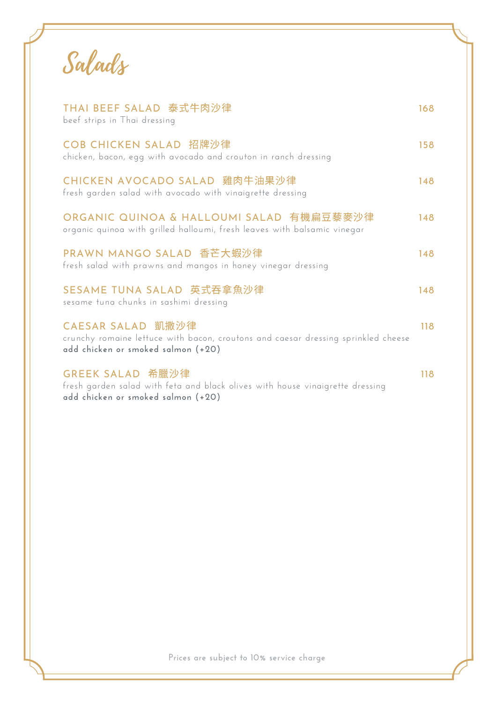Salads

| THAI BEEF SALAD 泰式牛肉沙律<br>beef strips in Thai dressing                                                                                       | 168 |
|----------------------------------------------------------------------------------------------------------------------------------------------|-----|
| COB CHICKEN SALAD 招牌沙律<br>chicken, bacon, egg with avocado and crouton in ranch dressing                                                     | 158 |
| CHICKEN AVOCADO SALAD 雞肉牛油果沙律<br>fresh garden salad with avocado with vinaigrette dressing                                                   | 148 |
| ORGANIC QUINOA & HALLOUMI SALAD 有機扁豆藜麥沙律<br>organic quinoa with grilled halloumi, fresh leaves with balsamic vinegar                         | 148 |
| PRAWN MANGO SALAD 香芒大蝦沙律<br>fresh salad with prawns and mangos in honey vinegar dressing                                                     | 148 |
| SESAME TUNA SALAD 英式吞拿魚沙律<br>sesame tuna chunks in sashimi dressing                                                                          | 148 |
| CAESAR SALAD 凱撒沙律<br>crunchy romaine lettuce with bacon, croutons and caesar dressing sprinkled cheese<br>add chicken or smoked salmon (+20) | 118 |
| GREEK SALAD 希臘沙律<br>fresh garden salad with feta and black olives with house vinaigrette dressing<br>add chicken or smoked salmon (+20)      | 118 |
|                                                                                                                                              |     |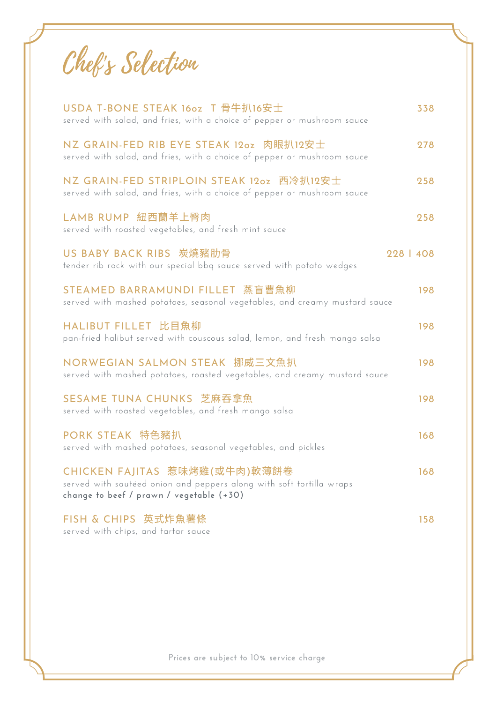Chef's Selection

| USDA T-BONE STEAK 16oz T 骨牛扒16安士<br>served with salad, and fries, with a choice of pepper or mushroom sauce                                       | 338       |
|---------------------------------------------------------------------------------------------------------------------------------------------------|-----------|
| NZ GRAIN-FED RIB EYE STEAK 12oz 肉眼扒12安士<br>served with salad, and fries, with a choice of pepper or mushroom sauce                                | 278       |
| NZ GRAIN-FED STRIPLOIN STEAK 12oz 西冷扒12安士<br>served with salad, and fries, with a choice of pepper or mushroom sauce                              | 258       |
| LAMB RUMP 紐西蘭羊上臀肉<br>served with roasted vegetables, and fresh mint sauce                                                                         | 258       |
| US BABY BACK RIBS 炭燒豬肋骨<br>tender rib rack with our special bbq sauce served with potato wedges                                                   | 228   408 |
| STEAMED BARRAMUNDI FILLET 蒸盲曹魚柳<br>served with mashed potatoes, seasonal vegetables, and creamy mustard sauce                                     | 198       |
| HALIBUT FILLET 比目魚柳<br>pan-fried halibut served with couscous salad, lemon, and fresh mango salsa                                                 | 198       |
| NORWEGIAN SALMON STEAK 挪威三文魚扒<br>served with mashed potatoes, roasted vegetables, and creamy mustard sauce                                        | 198       |
| SESAME TUNA CHUNKS 芝麻吞拿魚<br>served with roasted vegetables, and fresh mango salsa                                                                 | 198       |
| PORK STEAK 特色豬扒<br>served with mashed potatoes, seasonal vegetables, and pickles                                                                  | 168       |
| CHICKEN FAJITAS 惹味烤雞(或牛肉)軟薄餅卷<br>served with sautéed onion and peppers along with soft tortilla wraps<br>change to beef / prawn / vegetable (+30) | 168       |
| FISH & CHIPS 英式炸魚薯條<br>served with chips, and tartar sauce                                                                                        | 158       |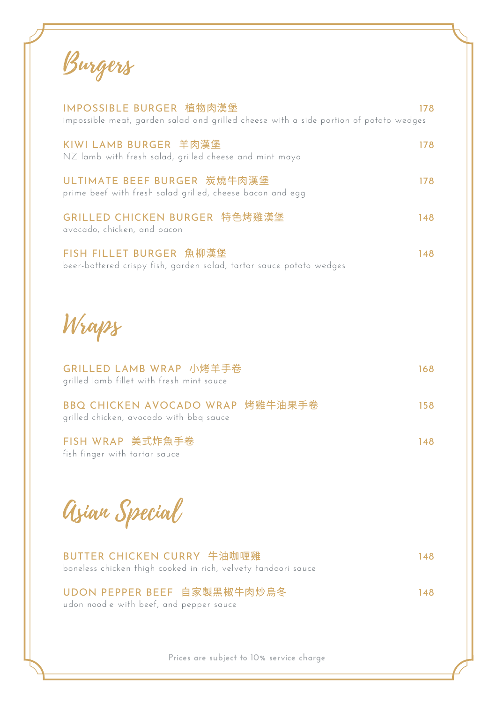Burgers

| IMPOSSIBLE BURGER 植物肉漢堡<br>impossible meat, garden salad and grilled cheese with a side portion of potato wedges | 178 |
|------------------------------------------------------------------------------------------------------------------|-----|
| KIWI LAMB BURGER 羊肉漢堡<br>NZ lamb with fresh salad, grilled cheese and mint mayo                                  | 178 |
| ULTIMATE BEEF BURGER 炭燒牛肉漢堡<br>prime beef with fresh salad grilled, cheese bacon and egg                         | 178 |
| GRILLED CHICKEN BURGER 特色烤雞漢堡<br>avocado, chicken, and bacon                                                     | 148 |
| FISH FILLET BURGER 魚柳漢堡<br>beer-battered crispy fish, garden salad, tartar sauce potato wedges                   | 148 |
| Wraps                                                                                                            |     |
| GRILLED LAMB WRAP 小烤羊手卷<br>grilled lamb fillet with fresh mint sauce                                             | 168 |
| BBQ CHICKEN AVOCADO WRAP 烤雞牛油果手卷<br>grilled chicken, avocado with bbq sauce                                      | 158 |
| FISH WRAP 美式炸魚手卷<br>fish finger with tartar sauce                                                                | 148 |
| Azian Special                                                                                                    |     |
| BUTTER CHICKEN CURRY 牛油咖喱雞<br>boneless chicken thigh cooked in rich, velvety tandoori sauce                      | 148 |
| UDON PEPPER BEEF 自家製黑椒牛肉炒烏冬<br>udon noodle with beef, and pepper sauce                                           | 148 |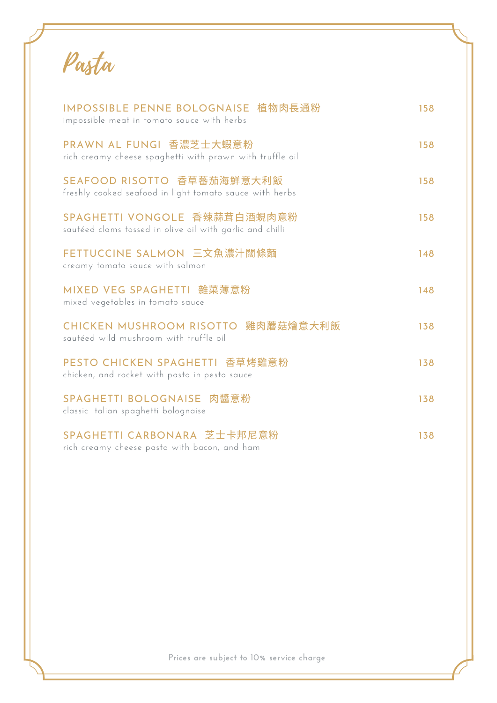Pasta

| IMPOSSIBLE PENNE BOLOGNAISE 植物肉長通粉<br>impossible meat in tomato sauce with herbs         | 158 |
|------------------------------------------------------------------------------------------|-----|
| PRAWN AL FUNGI 香濃芝士大蝦意粉<br>rich creamy cheese spaghetti with prawn with truffle oil      | 158 |
| SEAFOOD RISOTTO 香草蕃茄海鮮意大利飯<br>freshly cooked seafood in light tomato sauce with herbs    | 158 |
| SPAGHETTI VONGOLE 香辣蒜茸白酒蜆肉意粉<br>sautéed clams tossed in olive oil with garlic and chilli | 158 |
| FETTUCCINE SALMON 三文魚濃汁闊條麵<br>creamy tomato sauce with salmon                            | 148 |
| MIXED VEG SPAGHETTI 雜菜薄意粉<br>mixed vegetables in tomato sauce                            | 148 |
| CHICKEN MUSHROOM RISOTTO 雞肉蘑菇燴意大利飯<br>sautéed wild mushroom with truffle oil             | 138 |
| PESTO CHICKEN SPAGHETTI 香草烤雞意粉<br>chicken, and rocket with pasta in pesto sauce          | 138 |
| SPAGHETTI BOLOGNAISE 肉醬意粉<br>classic Italian spaghetti bolognaise                        | 138 |
| SPAGHETTI CARBONARA 芝士卡邦尼意粉<br>rich creamy cheese pasta with bacon, and ham              | 138 |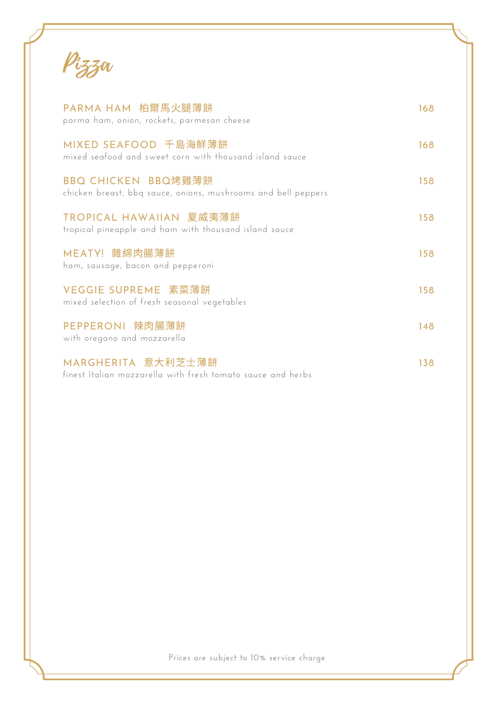Pizza

| PARMA HAM 柏爾馬火腿薄餅<br>parma ham, onion, rockets, parmesan cheese                      | 168 |
|--------------------------------------------------------------------------------------|-----|
| MIXED SEAFOOD 千島海鮮薄餅<br>mixed seafood and sweet corn with thousand island sauce      | 168 |
| BBQ CHICKEN BBQ烤雞薄餅<br>chicken breast, bbq sauce, onions, mushrooms and bell peppers | 158 |
| TROPICAL HAWAIIAN 夏威夷薄餅<br>tropical pineapple and ham with thousand island sauce     | 158 |
| MEATY! 雜綿肉腸薄餅<br>ham, sausage, bacon and pepperoni                                   | 158 |
| VEGGIE SUPREME 素菜薄餅<br>mixed selection of fresh seasonal vegetables                  | 158 |
| PEPPERONI 辣肉腸薄餅<br>with oregano and mozzarella                                       | 148 |
| MARGHERITA 意大利芝士薄餅<br>finest Italian mozzarella with fresh tomato sauce and herbs    | 138 |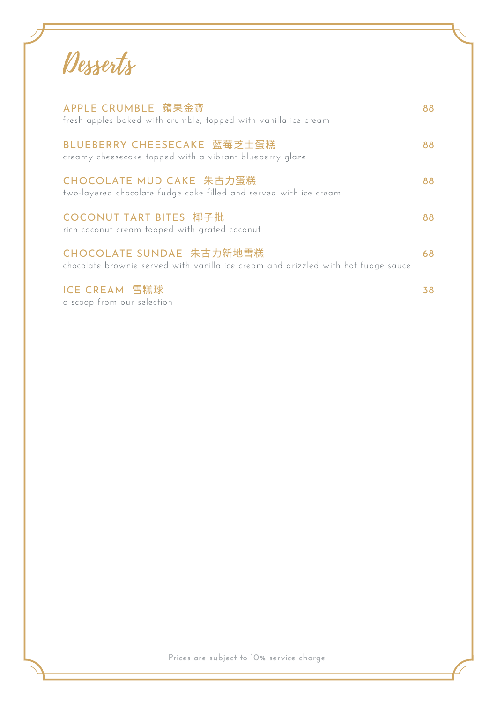Desserts

| APPLE CRUMBLE 蘋果金寶<br>fresh apples baked with crumble, topped with vanilla ice cream                          |    |
|---------------------------------------------------------------------------------------------------------------|----|
| BLUEBERRY CHEESECAKE 藍莓芝士蛋糕<br>creamy cheesecake topped with a vibrant blueberry glaze                        | 88 |
| CHOCOLATE MUD CAKE 朱古力蛋糕<br>two-layered chocolate fudge cake filled and served with ice cream                 | 88 |
| <b>COCONUT TART BITES 椰子批</b><br>rich coconut cream topped with grated coconut                                | 88 |
| CHOCOLATE SUNDAE 朱古力新地雪糕<br>chocolate brownie served with vanilla ice cream and drizzled with hot fudge sauce | 68 |
| ICE CREAM 雪糕球                                                                                                 |    |

a scoop from our selection